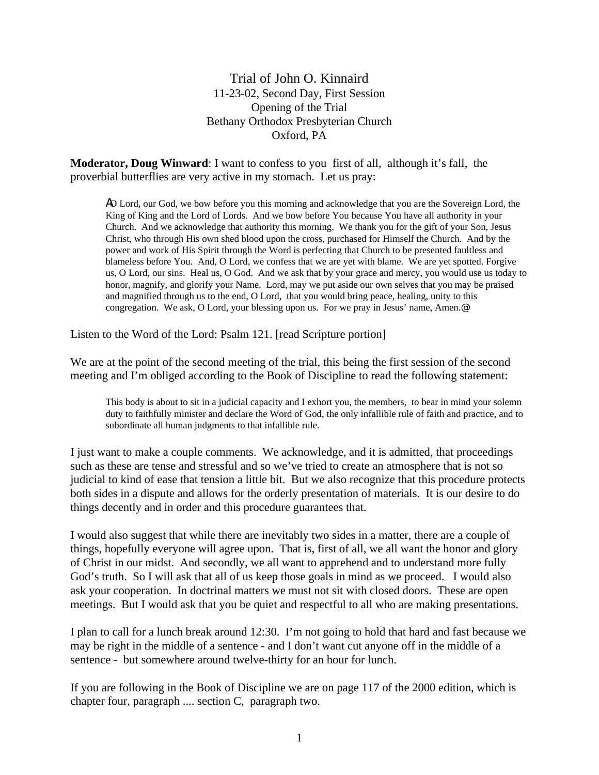## Trial of John O. Kinnaird 11-23-02, Second Day, First Session Opening of the Trial Bethany Orthodox Presbyterian Church Oxford, PA

**Moderator, Doug Winward**: I want to confess to you first of all, although it's fall, the proverbial butterflies are very active in my stomach. Let us pray:

AO Lord, our God, we bow before you this morning and acknowledge that you are the Sovereign Lord, the King of King and the Lord of Lords. And we bow before You because You have all authority in your Church. And we acknowledge that authority this morning. We thank you for the gift of your Son, Jesus Christ, who through His own shed blood upon the cross, purchased for Himself the Church. And by the power and work of His Spirit through the Word is perfecting that Church to be presented faultless and blameless before You. And, O Lord, we confess that we are yet with blame. We are yet spotted. Forgive us, O Lord, our sins. Heal us, O God. And we ask that by your grace and mercy, you would use us today to honor, magnify, and glorify your Name. Lord, may we put aside our own selves that you may be praised and magnified through us to the end, O Lord, that you would bring peace, healing, unity to this congregation. We ask, O Lord, your blessing upon us. For we pray in Jesus' name, Amen.@

Listen to the Word of the Lord: Psalm 121. [read Scripture portion]

We are at the point of the second meeting of the trial, this being the first session of the second meeting and I'm obliged according to the Book of Discipline to read the following statement:

This body is about to sit in a judicial capacity and I exhort you, the members, to bear in mind your solemn duty to faithfully minister and declare the Word of God, the only infallible rule of faith and practice, and to subordinate all human judgments to that infallible rule.

I just want to make a couple comments. We acknowledge, and it is admitted, that proceedings such as these are tense and stressful and so we've tried to create an atmosphere that is not so judicial to kind of ease that tension a little bit. But we also recognize that this procedure protects both sides in a dispute and allows for the orderly presentation of materials. It is our desire to do things decently and in order and this procedure guarantees that.

I would also suggest that while there are inevitably two sides in a matter, there are a couple of things, hopefully everyone will agree upon. That is, first of all, we all want the honor and glory of Christ in our midst. And secondly, we all want to apprehend and to understand more fully God's truth. So I will ask that all of us keep those goals in mind as we proceed. I would also ask your cooperation. In doctrinal matters we must not sit with closed doors. These are open meetings. But I would ask that you be quiet and respectful to all who are making presentations.

I plan to call for a lunch break around 12:30. I'm not going to hold that hard and fast because we may be right in the middle of a sentence - and I don't want cut anyone off in the middle of a sentence - but somewhere around twelve-thirty for an hour for lunch.

If you are following in the Book of Discipline we are on page 117 of the 2000 edition, which is chapter four, paragraph .... section C, paragraph two.